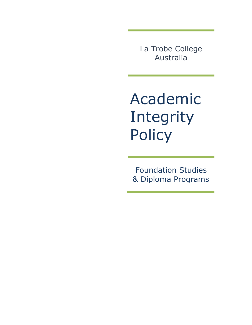La Trobe College Australia

Academic **Integrity Policy** 

Foundation Studies & Diploma Programs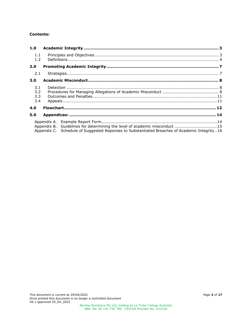## **Contents:**

| 1.0                      |                                                                                                                                                                            |  |
|--------------------------|----------------------------------------------------------------------------------------------------------------------------------------------------------------------------|--|
| 1.1<br>1.2               |                                                                                                                                                                            |  |
| 2.0                      |                                                                                                                                                                            |  |
| 2.1                      |                                                                                                                                                                            |  |
| 3.0                      |                                                                                                                                                                            |  |
| 3.1<br>3.2<br>3.3<br>3.4 |                                                                                                                                                                            |  |
| 4.0                      |                                                                                                                                                                            |  |
| 5.0                      |                                                                                                                                                                            |  |
|                          | Appendix B. Guidelines for determining the level of academic misconduct 15<br>Appendix C. Schedule of Suggested Reponses to Substantiated Breaches of Academic Integrity16 |  |

ABN No. 92 143 736 789 CRICOS Provider No. 03312D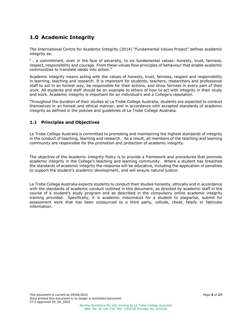# <span id="page-2-0"></span>**1.0 Academic Integrity**

The International Centre for Academic Integrity (2014) "Fundamental Values Project" defines academic integrity as:

"… a commitment, even in the face of adversity, to six fundamental values: honesty, trust, fairness, respect, responsibility and courage. From these values flow principles of behaviour that enable academic communities to translate ideals into action."

Academic integrity means acting with the values of honesty, trust, fairness, respect and responsibility in learning, teaching and research. It is important for students, teachers, researchers and professional staff to act in an honest way, be responsible for their actions, and show fairness in every part of their work. All students and staff should be an example to others of how to act with integrity in their study and work. Academic integrity is important for an individual's and a College's reputation.

Throughout the duration of their studies at La Trobe College Australia, students are expected to conduct themselves in an honest and ethical manner, and in accordance with accepted standards of academic integrity as defined in the policies and guidelines of La Trobe College Australia.

### <span id="page-2-1"></span>**1.1 Principles and Objectives**

La Trobe College Australia is committed to promoting and maintaining the highest standards of integrity in the conduct of teaching, learning and research. As a result, all members of the teaching and learning community are responsible for the promotion and protection of academic integrity.

The objective of the Academic Integrity Policy is to provide a framework and procedures that promote academic integrity in the College's teaching and learning community. Where a student has breached the standards of academic integrity the response will be educative, including the application of penalties to support the student's academic development, and will ensure natural justice.

La Trobe College Australia expects students to conduct their studies honestly, ethically and in accordance with the standards of academic conduct outlined in this document, as directed by academic staff in the course of a student's study program and as described in the compulsory online academic integrity training provided. Specifically, it is academic misconduct for a student to plagiarise, submit for assessment work that has been outsourced to a third party, collude, cheat, falsify or fabricate information.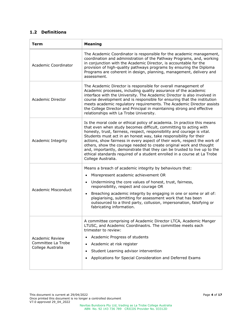## <span id="page-3-0"></span>**1.2 Definitions**

| <b>Term</b>                                                | <b>Meaning</b>                                                                                                                                                                                                                                                                                                                                                                                                                                                                                                                                                                                                                 |  |  |  |  |
|------------------------------------------------------------|--------------------------------------------------------------------------------------------------------------------------------------------------------------------------------------------------------------------------------------------------------------------------------------------------------------------------------------------------------------------------------------------------------------------------------------------------------------------------------------------------------------------------------------------------------------------------------------------------------------------------------|--|--|--|--|
| Academic Coordinator                                       | The Academic Coordinator is responsible for the academic management,<br>coordination and administration of the Pathway Programs, and, working<br>in conjunction with the Academic Director, is accountable for the<br>provision of high-quality pathways programs by ensuring the Diploma<br>Programs are coherent in design, planning, management, delivery and<br>assessment.                                                                                                                                                                                                                                                |  |  |  |  |
| Academic Director                                          | The Academic Director is responsible for overall management of<br>Academic processes, including quality assurance of the academic<br>interface with the University. The Academic Director is also involved in<br>course development and is responsible for ensuring that the institution<br>meets academic regulatory requirements. The Academic Director assists<br>the College Director and Principal in maintaining strong and effective<br>relationships with La Trobe University.                                                                                                                                         |  |  |  |  |
| Academic Integrity                                         | Is the moral code or ethical policy of academia. In practice this means<br>that even when study becomes difficult, committing to acting with<br>honesty, trust, fairness, respect, responsibility and courage is vital.<br>Students must act in an honest way, take responsibility for their<br>actions, show fairness in every aspect of their work, respect the work of<br>others, show the courage needed to create original work and thought<br>and, importantly, demonstrate that they can be trusted to live up to the<br>ethical standards required of a student enrolled in a course at La Trobe<br>College Australia. |  |  |  |  |
| Academic Misconduct                                        | Means a breach of academic integrity by behaviours that:<br>Misrepresent academic achievement OR<br>Undermining the core values of honest, trust, fairness,<br>responsibility, respect and courage OR<br>Breaching academic integrity by engaging in one or some or all of:<br>$\bullet$<br>plagiarising, submitting for assessment work that has been<br>outsourced to a third party, collusion, impersonation, falsifying or<br>fabricating information.                                                                                                                                                                     |  |  |  |  |
| Academic Review<br>Committee La Trobe<br>College Australia | A committee comprising of Academic Director LTCA, Academic Manger<br>LTUSC, and Academic Coordinaotrs. The committee meets each<br>trimester to review:<br>Academic Progress of students<br>Academic at risk register<br>Student Learning advisor intervention<br>Applications for Special Consideration and Deferred Exams                                                                                                                                                                                                                                                                                                    |  |  |  |  |

ABN No. 92 143 736 789 CRICOS Provider No. 03312D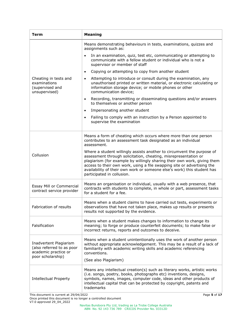| Term                                                                                             | <b>Meaning</b>                                                                                                                                                                                                                                                                                                                                                                                            |  |  |  |  |
|--------------------------------------------------------------------------------------------------|-----------------------------------------------------------------------------------------------------------------------------------------------------------------------------------------------------------------------------------------------------------------------------------------------------------------------------------------------------------------------------------------------------------|--|--|--|--|
|                                                                                                  | Means demonstrating behaviours in tests, examinations, quizzes and<br>assignments such as:                                                                                                                                                                                                                                                                                                                |  |  |  |  |
|                                                                                                  | In an examination, quiz, test etc, communicating or attempting to<br>$\bullet$<br>communicate with a fellow student or individual who is not a<br>supervisor or member of staff                                                                                                                                                                                                                           |  |  |  |  |
|                                                                                                  | Copying or attempting to copy from another student<br>$\bullet$                                                                                                                                                                                                                                                                                                                                           |  |  |  |  |
| Cheating in tests and<br>examinations<br>(supervised and<br>unsupervised)                        | Attempting to introduce or consult during the examination, any<br>$\bullet$<br>unauthorised printed or written material, or electronic calculating or<br>information storage device; or mobile phones or other<br>communication device;                                                                                                                                                                   |  |  |  |  |
|                                                                                                  | Recording, transmitting or disseminating questions and/or answers<br>$\bullet$<br>to themselves or another person                                                                                                                                                                                                                                                                                         |  |  |  |  |
|                                                                                                  | Impersonating another student<br>$\bullet$                                                                                                                                                                                                                                                                                                                                                                |  |  |  |  |
|                                                                                                  | Failing to comply with an instruction by a Person appointed to<br>$\bullet$<br>supervise the examination                                                                                                                                                                                                                                                                                                  |  |  |  |  |
|                                                                                                  | Means a form of cheating which occurs where more than one person<br>contributes to an assessment task designated as an individual<br>assessment.                                                                                                                                                                                                                                                          |  |  |  |  |
| Collusion                                                                                        | Where a student willingly assists another to circumvent the purpose of<br>assessment through solicitation, cheating, misrepresentation or<br>plagiarism (for example by willingly sharing their own work, giving them<br>access to their own work, using a file swapping site or advertising the<br>availability of their own work or someone else's work) this student has<br>participated in collusion. |  |  |  |  |
| Essay Mill or Commercial<br>contract service provider                                            | Means an organisation or individual, usually with a web presence, that<br>contracts with students to complete, in whole or part, assessment tasks<br>for a student for a fee.                                                                                                                                                                                                                             |  |  |  |  |
| Fabrication of results                                                                           | Means when a student claims to have carried out tests, experiments or<br>observations that have not taken place, makes up results or presents<br>results not supported by the evidence.                                                                                                                                                                                                                   |  |  |  |  |
| Falsification                                                                                    | Means when a student makes changes to information to change its<br>meaning; to forge or produce counterfeit documents; to make false or<br>incorrect returns, reports and outcomes to deceive.                                                                                                                                                                                                            |  |  |  |  |
| Inadvertent Plagiarism<br>(also referred to as poor<br>academic practice or<br>poor scholarship) | Means when a student unintentionally uses the work of another person<br>without appropriate acknowledgement. This may be a result of a lack of<br>familiarity with academic writing skills and academic referencing<br>conventions.<br>(See also Plagiarism)                                                                                                                                              |  |  |  |  |
| <b>Intellectual Property</b>                                                                     | Means any intellectual creation(s) such as literary works, artistic works<br>(i.e. songs, poetry, books, photographs etc) inventions, designs,<br>symbols, names, images, computer code, ideas and other products of<br>intellectual capital that can be protected by copyright, patents and<br>trademarks                                                                                                |  |  |  |  |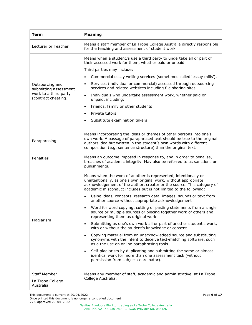| <b>Term</b>                                                       | <b>Meaning</b>                                                                                                                                                                                                                                                                                                                                                                                               |  |  |  |  |
|-------------------------------------------------------------------|--------------------------------------------------------------------------------------------------------------------------------------------------------------------------------------------------------------------------------------------------------------------------------------------------------------------------------------------------------------------------------------------------------------|--|--|--|--|
| Lecturer or Teacher                                               | Means a staff member of La Trobe College Australia directly responsible<br>for the teaching and assessment of student work                                                                                                                                                                                                                                                                                   |  |  |  |  |
| Outsourcing and<br>submitting assessment<br>work to a third party | Means when a student/s use a third party to undertake all or part of<br>their assessed work for them, whether paid or unpaid.<br>Third parties may include:<br>Commercial essay writing services (sometimes called 'essay mills').<br>$\bullet$<br>Services (individual or commercial) accessed through outsourcing<br>$\bullet$<br>services and related websites including file sharing sites.<br>$\bullet$ |  |  |  |  |
| (contract cheating)                                               | Individuals who undertake assessment work, whether paid or<br>unpaid, including:<br>Friends, family or other students<br>$\bullet$<br>Private tutors<br>$\bullet$<br>Substitute examination takers<br>$\bullet$                                                                                                                                                                                              |  |  |  |  |
| Paraphrasing                                                      | Means incorporating the ideas or themes of other persons into one's<br>own work. A passage of paraphrased text should be true to the original<br>authors idea but written in the student's own words with different<br>composition (e.g. sentence structure) than the original text.                                                                                                                         |  |  |  |  |
| Penalties                                                         | Means an outcome imposed in response to, and in order to penalise,<br>breaches of academic integrity. May also be referred to as sanctions or<br>punishments.                                                                                                                                                                                                                                                |  |  |  |  |
|                                                                   | Means when the work of another is represented, intentionally or<br>unintentionally, as one's own original work, without appropriate<br>acknowledgement of the author, creator or the source. This category of<br>academic misconduct includes but is not limited to the following:                                                                                                                           |  |  |  |  |
|                                                                   | Using ideas, concepts, research data, images, sounds or text from<br>$\bullet$<br>another source without appropriate acknowledgement                                                                                                                                                                                                                                                                         |  |  |  |  |
|                                                                   | Word for word copying, cutting or pasting statements from a single<br>$\bullet$<br>source or multiple sources or piecing together work of others and<br>representing them as original work                                                                                                                                                                                                                   |  |  |  |  |
| Plagiarism                                                        | Submitting as one's own work all or part of another student's work,<br>$\bullet$<br>with or without the student's knowledge or consent                                                                                                                                                                                                                                                                       |  |  |  |  |
|                                                                   | Copying material from an unacknowledged source and substituting<br>$\bullet$<br>synonyms with the intent to deceive text-matching software, such<br>as a the use on online paraphrasing tools.                                                                                                                                                                                                               |  |  |  |  |
|                                                                   | Self-plagiarism by duplicating and submitting the same or almost<br>$\bullet$<br>identical work for more than one assessment task (without<br>permission from subject coordinator).                                                                                                                                                                                                                          |  |  |  |  |
| <b>Staff Member</b><br>La Trobe College<br>Australia              | Means any member of staff, academic and administrative, at La Trobe<br>College Australia.                                                                                                                                                                                                                                                                                                                    |  |  |  |  |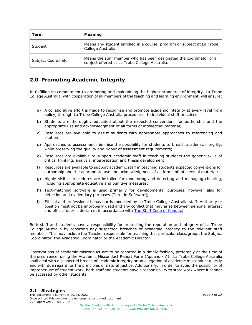| Term                | <b>Meaning</b>                                                                                                        |  |  |  |
|---------------------|-----------------------------------------------------------------------------------------------------------------------|--|--|--|
| Student             | Means any student enrolled in a course, program or subject at La Trobe<br>College Australia.                          |  |  |  |
| Subject Coordinator | Means the staff member who has been designated the coordinator of a<br>subject offered at La Trobe College Australia. |  |  |  |

# <span id="page-6-0"></span>**2.0 Promoting Academic Integrity**

In fulfilling its commitment to promoting and maintaining the highest standards of integrity, La Trobe College Australia, with cooperation of all members of the teaching and learning environment, will ensure:

- a) A collaborative effort is made to recognise and promote academic integrity at every level from policy, through La Trobe College Australia procedures, to individual staff practices;
- b) Students are thoroughly educated about the expected conventions for authorship and the appropriate use and acknowledgment of all forms of intellectual material;
- c) Resources are available to assist students with appropriate approaches to referencing and citation;
- d) Approaches to assessment minimise the possibility for students to breach academic integrity, while preserving the quality and rigour of assessment requirements;
- e) Resources are available to support academic staff in teaching students the generic skills of critical thinking, analysis, interpretation and thesis development;
- f) Resources are available to support academic staff in teaching students expected conventions for authorship and the appropriate use and acknowledgment of all forms of intellectual material;
- g) Highly visible procedures are installed for monitoring and detecting and managing cheating, including appropriate educative and punitive measures;
- h) Text-matching software is used primarily for developmental purposes, however also for detection and evidentiary purposes [Turnitin Software];
- i) Ethical and professional behaviour is modelled by La Trobe College Australia staff. Authority or position must not be improperly used and any conflict that may arise between personal interest and official duty is declared, in accordance with [The Staff Code of Conduct.](https://navitas.sharepoint.com/sites/NVT_SDL/UPA/LTO/Documents/Forms/AllItems.aspx?id=%2Fsites%2FNVT%5FSDL%2FUPA%2FLTO%2FDocuments%2FLa%20Trobe%20Operations%2FLTM%20Policies%2FStaff%20Code%20of%20Conduct%2Epdf&parent=%2Fsites%2FNVT%5FSDL%2FUPA%2FLTO%2FDocuments%2FLa%20Trobe%20Operations%2FLTM%20Policies)

Both staff and students have a responsibility for protecting the reputation and integrity of La Trobe College Australia by reporting any suspected breaches of academic integrity to the relevant staff member. This may include the Teacher responsible for teaching that particular class/group, the Subject Coordinator, the Academic Coordinator or the Academic Director.

Observations of academic misconduct are to be reported in a timely fashion, preferably at the time of the occurrence, using the Academic Misconduct Report Form (Appendix A). La Trobe College Australia shall deal with a suspected breach of academic integrity or an allegation of academic misconduct quickly and with due regard for the principles of natural justice. Additionally, in order to avoid the possibility of improper use of student work, both staff and students have a responsibility to store work where it cannot be accessed by other students.

#### <span id="page-6-1"></span>**2.1 Strategies**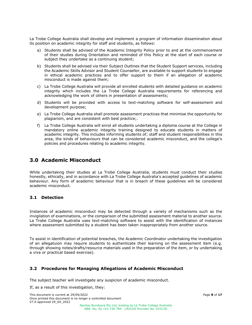La Trobe College Australia shall develop and implement a program of information dissemination about its position on academic integrity for staff and students, as follows:

- a) Students shall be advised of the Academic Integrity Policy prior to and at the commencement of their studies during Orientation and reminded of this Policy at the start of each course or subject they undertake as a continuing student;
- b) Students shall be advised via their Subject Outlines that the Student Support services, including the Academic Skills Advisor and Student Counsellor, are available to support students to engage in ethical academic practices and to offer support to them if an allegation of academic misconduct is made against them;
- c) La Trobe College Australia will provide all enrolled students with detailed guidance on academic integrity which includes the La Trobe College Australia requirements for referencing and acknowledging the work of others in presentation of assessments;
- d) Students will be provided with access to text-matching software for self-assessment and development purpose;
- e) La Trobe College Australia shall promote assessment practices that minimise the opportunity for plagiarism, and are consistent with best practice;.
- f) La Trobe College Australia will enrol all students undertaking a diploma course at the College in mandatory online academic integrity training designed to educate students in matters of academic integrity. This includes informing students of; staff and student responsibilities in this area, the kinds of behaviours that can be considered academic misconduct, and the college's policies and procedures relating to academic integrity.

## <span id="page-7-0"></span>**3.0 Academic Misconduct**

While undertaking their studies at La Trobe College Australia, students must conduct their studies honestly, ethically, and in accordance with La Trobe College Australia's accepted guidelines of academic behaviour. Any form of academic behaviour that is in breach of these guidelines will be considered academic misconduct.

### <span id="page-7-1"></span>**3.1 Detection**

Instances of academic misconduct may be detected through a variety of mechanisms such as the invigilation of examinations, or the comparison of the submitted assessment material to another source. La Trobe College Australia uses text-matching software to assist with the identification of instances where assessment submitted by a student has been taken inappropriately from another source.

To assist in identification of potential breaches, the Academic Coordinator undertaking the investigation of an allegatuion may require students to authenticate their learning on the assessment item (e.g. through showing notes/drafts/resource materials used in the preparation of the item, or by undertaking a viva or practical based exercise).

## <span id="page-7-2"></span>**3.2 Procedures for Managing Allegations of Academic Misconduct**

The subject teacher will investigate any suspicion of academic misconduct.

If, as a result of this investigation, they: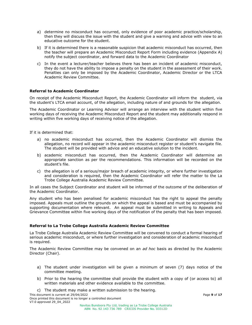- a) determine no misconduct has occurred, only evidence of poor academic practice/scholarship, then they will discuss the issue with the student and give a warning and advice with view to an educative outcome for the student.
- b) If it is determined there is a reasonable suspicion that academic misconduct has occurred, then the teacher will prepare an Academic Misconduct Report Form including evidence (Appendix A) notify the subject coordinator, and forward data to the Academic Coordinator
- c) In the event a lecturer/teacher believes there has been an incident of academic misconduct, they do not have the ability to impose a penalty on the student in the assessment of their work. Penalties can only be imposed by the Academic Coordinator, Academic Director or the LTCA Academic Review Committee.

#### **Referral to Academic Coordinator**

On receipt of the Academic Misconduct Report, the Academic Coordinator will inform the student, via the student's LTCA email account, of the allegation, including nature of and grounds for the allegation.

The Academic Coordinator or Learning Advisor will arrange an interview with the student within five working days of receiving the Academic Misconduct Report and the student may additionally respond in writing within five working days of receiving notice of the allegation.

If it is determined that:

- a) no academic misconduct has occurred, then the Academic Coordinator will dismiss the allegation, no record will appear in the academic misconduct register or student's navigate file. The student will be provided with advice and an educative solution to the incident.
- b) academic misconduct has occurred, then the Academic Coordinator will determine an appropriate sanction as per the recommendations. This information will be recorded on the student's file.
- c) the allegation is of a serious/major breach of academic integrity, or where further investigation and consideration is required, then the Academic Coordinator will refer the matter to the La Trobe College Australia Academic Review Committee.

In all cases the Subject Coordinator and student will be informed of the outcome of the deliberation of the Academic Coordinator.

Any student who has been penalised for academic misconduct has the right to appeal the penalty imposed. Appeals must outline the grounds on which the appeal is based and must be accompanied by supporting documentation where relevant. An appeal must be submitted in writing to Appeals and Grievance Committee within five working days of the notification of the penalty that has been imposed.

#### **Referral to La Trobe College Australia Academic Review Committee**

La Trobe College Australia Academic Review Committee will be convened to conduct a formal hearing of serious academic misconduct, or where further investigation and consideration of academic misconduct is required.

The Academic Review Committee may be convened on an *ad hoc* basis as directed by the Academic Director (Chair).

- a) The student under investigation will be given a minimum of seven (7) days notice of the committee meeting.
- b) Prior to the hearing the committee shall provide the student with a copy of (or access to) all written materials and other evidence available to the committee.
- c) The student may make a written submission to the hearing.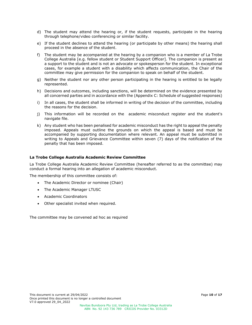- d) The student may attend the hearing or, if the student requests, participate in the hearing through telephone/video conferencing or similar facility.
- e) If the student declines to attend the hearing (or participate by other means) the hearing shall proceed in the absence of the student.
- f) The student may be accompanied at the hearing by a companion who is a member of La Trobe College Australia [e.g. fellow student or Student Support Officer]. The companion is present as a support to the student and is not an advocate or spokesperson for the student. In exceptional cases, for example a student with a disability which affects communication, the Chair of the committee may give permission for the companion to speak on behalf of the student.
- g) Neither the student nor any other person participating in the hearing is entitled to be legally represented.
- h) Decisions and outcomes, including sanctions, will be determined on the evidence presented by all concerned parties and in accordance with the (Appendix C: Schedule of suggested responses)
- i) In all cases, the student shall be informed in writing of the decision of the committee, including the reasons for the decision.
- j) This information will be recorded on the academic misconduct register and the student's navigate file.
- k) Any student who has been penalised for academic misconduct has the right to appeal the penalty imposed. Appeals must outline the grounds on which the appeal is based and must be accompanied by supporting documentation where relevant. An appeal must be submitted in writing to Appeals and Grievance Committee within seven (7) days of the notification of the penalty that has been imposed.

#### **La Trobe College Australia Academic Review Committee**

La Trobe College Australia Academic Review Committee (hereafter referred to as the committee) may conduct a formal hearing into an allegation of academic misconduct.

The membership of this committee consists of:

- The Academic Director or nominee (Chair)
- The Academic Manager LTUSC
- Academic Coordinators
- Other specialist invited when required.

The committee may be convened ad hoc as required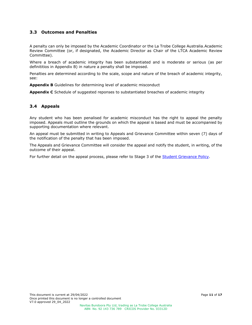### <span id="page-10-0"></span>**3.3 Outcomes and Penalties**

A penalty can only be imposed by the Academic Coordinator or the La Trobe College Australia.Academic Review Committee (or, if designated, the Academic Director as Chair of the LTCA Academic Review Committee).

Where a breach of academic integrity has been substantiated and is moderate or serious (as per definititios in Appendix B) in nature a penalty shall be imposed.

Penalties are determined according to the scale, scope and nature of the breach of academic integrity, see:

**Appendix B** Guidelines for determining level of academic misconduct

**Appendix C** Schedule of suggested reponses to substantiated breaches of academic integrity

### <span id="page-10-1"></span>**3.4 Appeals**

Any student who has been penalised for academic misconduct has the right to appeal the penalty imposed. Appeals must outline the grounds on which the appeal is based and must be accompanied by supporting documentation where relevant.

An appeal must be submitted in writing to Appeals and Grievance Committee within seven (7) days of the notification of the penalty that has been imposed.

The Appeals and Grievance Committee will consider the appeal and notify the student, in writing, of the outcome of their appeal.

For further detail on the appeal process, please refer to Stage 3 of the [Student Grievance Policy.](https://navitas.sharepoint.com/sites/NVT_SDL/UPA/LTO/Documents/Forms/AllItems.aspx?id=%2Fsites%2FNVT%5FSDL%2FUPA%2FLTO%2FDocuments%2FLa%20Trobe%20Operations%2FLTM%20Policies%2FStudent%20Grievance%20Policy%2Epdf&parent=%2Fsites%2FNVT%5FSDL%2FUPA%2FLTO%2FDocuments%2FLa%20Trobe%20Operations%2FLTM%20Policies)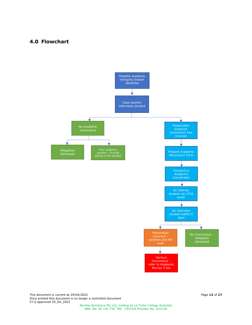## <span id="page-11-0"></span>**4.0 Flowchart**

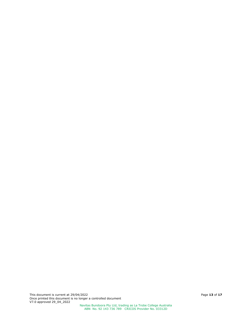ABN No. 92 143 736 789 CRICOS Provider No. 03312D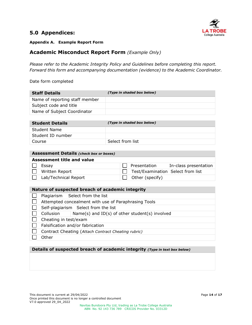

## <span id="page-13-0"></span>**5.0 Appendices:**

### <span id="page-13-1"></span>**Appendix A. Example Report Form**

## **Academic Misconduct Report Form** *(Example Only)*

*Please refer to the Academic Integrity Policy and Guidelines before completing this report. Forward this form and accompanying documentation (evidence) to the Academic Coordinator.*

#### Date form completed

| <b>Staff Details</b>           | (Type in shaded box below) |
|--------------------------------|----------------------------|
| Name of reporting staff member |                            |
| Subject code and title         |                            |
| Name of Subject Coordinator    |                            |

| <b>Student Details</b> | (Type in shaded box below) |
|------------------------|----------------------------|
| Student Name           |                            |
| Student ID number      |                            |
| Course                 | Select from list           |

| <b>Assessment Details (check box or boxes)</b> |  |                                          |                                    |  |  |  |
|------------------------------------------------|--|------------------------------------------|------------------------------------|--|--|--|
| <b>Assessment title and value</b>              |  |                                          |                                    |  |  |  |
| Essay                                          |  |                                          | Presentation In-class presentation |  |  |  |
| Written Report                                 |  | $\Box$ Test/Examination Select from list |                                    |  |  |  |
| $\Box$ Lab/Technical Report                    |  | $\Box$ Other (specify)                   |                                    |  |  |  |

| Nature of suspected breach of academic integrity |                       |                                                      |  |  |  |
|--------------------------------------------------|-----------------------|------------------------------------------------------|--|--|--|
|                                                  |                       | Plagiarism Select from the list                      |  |  |  |
|                                                  |                       | Attempted concealment with use of Paraphrasing Tools |  |  |  |
|                                                  |                       | Self-plagiarism Select from the list                 |  |  |  |
|                                                  | Collusion             | Name(s) and $ID(s)$ of other student(s) involved     |  |  |  |
|                                                  | Cheating in test/exam |                                                      |  |  |  |
|                                                  |                       | Falsification and/or fabrication                     |  |  |  |
|                                                  |                       | Contract Cheating (Attach Contract Cheating rubric)  |  |  |  |
|                                                  | Other                 |                                                      |  |  |  |

### **Details of suspected breach of academic integrity** *(Type in text box below)*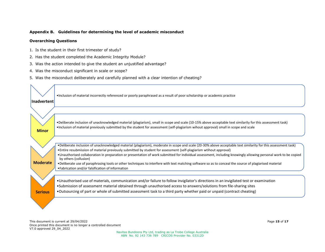#### **Appendix B. Guidelines for determining the level of academic misconduct**

#### **Overarching Questions**

- 1. Is the student in their first trimester of study?
- 2. Has the student completed the Academic Integrity Module?
- 3. Was the action intended to give the student an unjustified advantage?
- 4. Was the misconduct significant in scale or scope?
- 5. Was the misconduct deliberately and carefully planned with a clear intention of cheating?

<span id="page-14-0"></span>

This document is current at 29/04/2022 **Page 15** of 17 Once printed this document is no longer a controlled document V7.0 approved 29\_04\_2022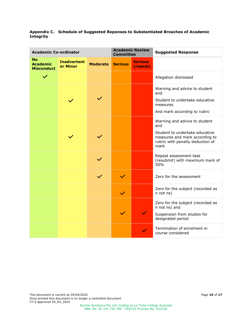<span id="page-15-0"></span>**Appendix C. Schedule of Suggested Reponses to Substantiated Breaches of Academic Integrity**

| <b>Academic Co-ordinator</b>                      |                                |                 | <b>Academic Review</b><br><b>Committee</b> |                            | <b>Suggested Response</b>                                                                                                                            |
|---------------------------------------------------|--------------------------------|-----------------|--------------------------------------------|----------------------------|------------------------------------------------------------------------------------------------------------------------------------------------------|
| <b>No</b><br><b>Academic</b><br><b>Misconduct</b> | <b>Inadvertent</b><br>or Minor | <b>Moderate</b> | <b>Serious</b>                             | <b>Serious</b><br>(repeat) |                                                                                                                                                      |
| $\checkmark$                                      |                                |                 |                                            |                            | Allegation dismissed                                                                                                                                 |
|                                                   |                                |                 |                                            |                            | Warning and advice to student<br>and<br>Student to undertake educative<br>measures<br>And mark according to rubric                                   |
|                                                   |                                |                 |                                            |                            | Warning and advice to student<br>and<br>Student to undertake educative<br>measures and mark according to<br>rubric with penalty deduction of<br>mark |
|                                                   |                                |                 |                                            |                            | Repeat assessment task<br>(resubmit) with maximum mark of<br>50%                                                                                     |
|                                                   |                                |                 | $\checkmark$                               |                            | Zero for the assessment                                                                                                                              |
|                                                   |                                |                 |                                            |                            | Zero for the subject (recorded as<br>$n$ not $ns$ )                                                                                                  |
|                                                   |                                |                 |                                            |                            | Zero for the subject (recorded as<br>n not ns) and<br>Suspension from studies for<br>designated period                                               |
|                                                   |                                |                 |                                            |                            | Termination of enrolment in<br>course considered                                                                                                     |